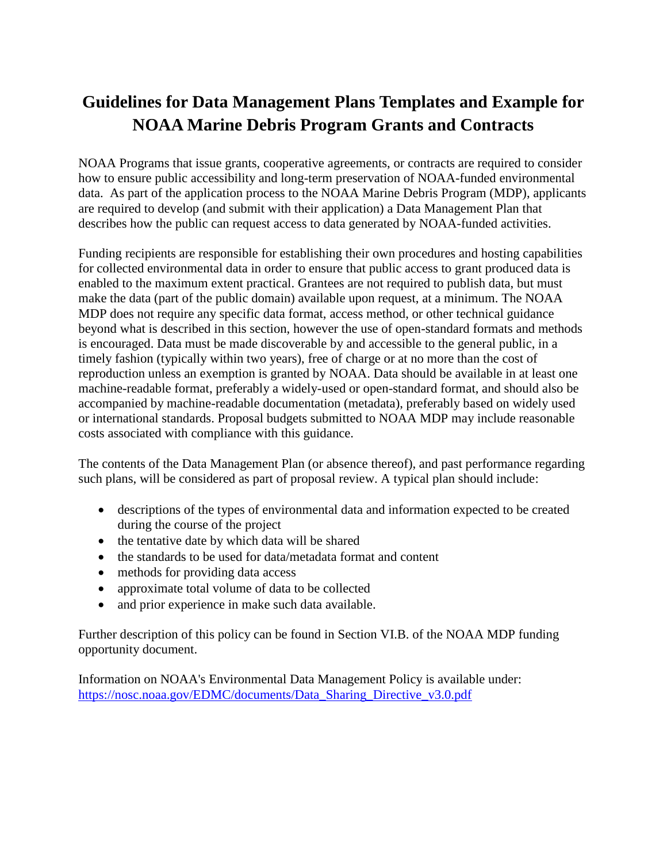## **Guidelines for Data Management Plans Templates and Example for NOAA Marine Debris Program Grants and Contracts**

NOAA Programs that issue grants, cooperative agreements, or contracts are required to consider how to ensure public accessibility and long-term preservation of NOAA-funded environmental data. As part of the application process to the NOAA Marine Debris Program (MDP), applicants are required to develop (and submit with their application) a Data Management Plan that describes how the public can request access to data generated by NOAA-funded activities.

Funding recipients are responsible for establishing their own procedures and hosting capabilities for collected environmental data in order to ensure that public access to grant produced data is enabled to the maximum extent practical. Grantees are not required to publish data, but must make the data (part of the public domain) available upon request, at a minimum. The NOAA MDP does not require any specific data format, access method, or other technical guidance beyond what is described in this section, however the use of open-standard formats and methods is encouraged. Data must be made discoverable by and accessible to the general public, in a timely fashion (typically within two years), free of charge or at no more than the cost of reproduction unless an exemption is granted by NOAA. Data should be available in at least one machine-readable format, preferably a widely-used or open-standard format, and should also be accompanied by machine-readable documentation (metadata), preferably based on widely used or international standards. Proposal budgets submitted to NOAA MDP may include reasonable costs associated with compliance with this guidance.

The contents of the Data Management Plan (or absence thereof), and past performance regarding such plans, will be considered as part of proposal review. A typical plan should include:

- descriptions of the types of environmental data and information expected to be created during the course of the project
- the tentative date by which data will be shared
- the standards to be used for data/metadata format and content
- methods for providing data access
- approximate total volume of data to be collected
- and prior experience in make such data available.

Further description of this policy can be found in Section VI.B. of the NOAA MDP funding opportunity document.

Information on NOAA's Environmental Data Management Policy is available under: [https://nosc.noaa.gov/EDMC/documents/Data\\_Sharing\\_Directive\\_v3.0.pdf](https://nosc.noaa.gov/EDMC/documents/Data_Sharing_Directive_v3.0.pdf)